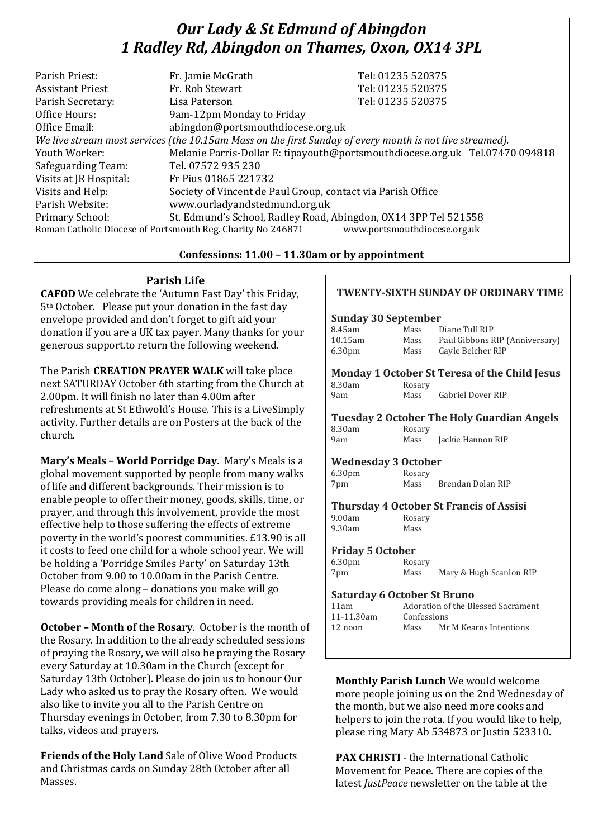# *Our Lady & St Edmund of Abingdon 1 Radley Rd, Abingdon on Thames, Oxon, OX14 3PL*

|                                                                                                          | Tel: 01235 520375                                                            |
|----------------------------------------------------------------------------------------------------------|------------------------------------------------------------------------------|
|                                                                                                          |                                                                              |
|                                                                                                          | Tel: 01235 520375                                                            |
| Lisa Paterson                                                                                            | Tel: 01235 520375                                                            |
| 9am-12pm Monday to Friday                                                                                |                                                                              |
| abingdon@portsmouthdiocese.org.uk                                                                        |                                                                              |
| We live stream most services (the 10.15am Mass on the first Sunday of every month is not live streamed). |                                                                              |
|                                                                                                          | Melanie Parris-Dollar E: tipayouth@portsmouthdiocese.org.uk Tel.07470 094818 |
| Tel. 07572 935 230                                                                                       |                                                                              |
| Fr Pius 01865 221732                                                                                     |                                                                              |
| Society of Vincent de Paul Group, contact via Parish Office                                              |                                                                              |
| www.ourladyandstedmund.org.uk                                                                            |                                                                              |
| St. Edmund's School, Radley Road, Abingdon, OX14 3PP Tel 521558                                          |                                                                              |
| www.portsmouthdiocese.org.uk<br>Roman Catholic Diocese of Portsmouth Reg. Charity No 246871              |                                                                              |
|                                                                                                          | Fr. Jamie McGrath<br>Fr. Rob Stewart                                         |

#### **Confessions: 11.00 – 11.30am or by appointment**

### **Parish Life**

**CAFOD** We celebrate the 'Autumn Fast Day' this Friday, 5th October. Please put your donation in the fast day envelope provided and don't forget to gift aid your donation if you are a UK tax payer. Many thanks for your generous support.to return the following weekend.

The Parish **CREATION PRAYER WALK** will take place next SATURDAY October 6th starting from the Church at 2.00pm. It will finish no later than 4.00m after refreshments at St Ethwold's House. This is a LiveSimply activity. Further details are on Posters at the back of the church.

**Mary's Meals – World Porridge Day.** Mary's Meals is a global movement supported by people from many walks of life and different backgrounds. Their mission is to enable people to offer their money, goods, skills, time, or prayer, and through this involvement, provide the most effective help to those suffering the effects of extreme poverty in the world's poorest communities. £13.90 is all it costs to feed one child for a whole school year. We will be holding a 'Porridge Smiles Party' on Saturday 13th October from 9.00 to 10.00am in the Parish Centre. Please do come along – donations you make will go towards providing meals for children in need.

**October – Month of the Rosary**. October is the month of the Rosary. In addition to the already scheduled sessions of praying the Rosary, we will also be praying the Rosary every Saturday at 10.30am in the Church (except for Saturday 13th October). Please do join us to honour Our Lady who asked us to pray the Rosary often. We would also like to invite you all to the Parish Centre on Thursday evenings in October, from 7.30 to 8.30pm for talks, videos and prayers.

**Friends of the Holy Land** Sale of Olive Wood Products and Christmas cards on Sunday 28th October after all Masses.

# **TWENTY-SIXTH SUNDAY OF ORDINARY TIME Sunday 30 September** 8.45am Mass Diane Tull RIP 10.15am Mass Paul Gibbons RIP (Anniversary) 6.30pm Mass Gayle Belcher RIP **Monday 1 October St Teresa of the Child Jesus** 8.30am Rosary 9am Mass Gabriel Dover RIP **Tuesday 2 October The Holy Guardian Angels** 8.30am Rosary 9am Mass Jackie Hannon RIP **Wednesday 3 October** 6.30pm Rosary 7pm Mass Brendan Dolan RIP **Thursday 4 October St Francis of Assisi** 9.00am Rosary 9.30am Mass **Friday 5 October**  6.30pm Rosary 7pm Mass Mary & Hugh Scanlon RIP **Saturday 6 October St Bruno** 11am Adoration of the Blessed Sacrament 11-11.30am Confessions 12 noon Mass Mr M Kearns Intentions

**Monthly Parish Lunch** We would welcome more people joining us on the 2nd Wednesday of the month, but we also need more cooks and helpers to join the rota. If you would like to help, please ring Mary Ab 534873 or Justin 523310.

**PAX CHRISTI** - the International Catholic Movement for Peace. There are copies of the latest *JustPeace* newsletter on the table at the